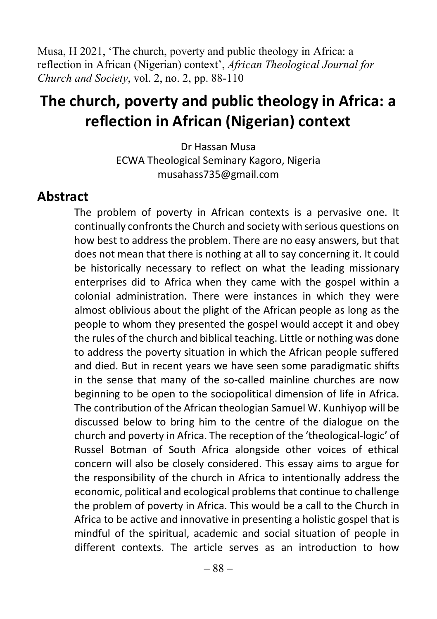Musa, H 2021, 'The church, poverty and public theology in Africa: a reflection in African (Nigerian) context', African Theological Journal for Church and Society, vol. 2, no. 2, pp. 88-110

# The church, poverty and public theology in Africa: a reflection in African (Nigerian) context

Dr Hassan Musa ECWA Theological Seminary Kagoro, Nigeria musahass735@gmail.com

#### Abstract

The problem of poverty in African contexts is a pervasive one. It continually confronts the Church and society with serious questions on how best to address the problem. There are no easy answers, but that does not mean that there is nothing at all to say concerning it. It could be historically necessary to reflect on what the leading missionary enterprises did to Africa when they came with the gospel within a colonial administration. There were instances in which they were almost oblivious about the plight of the African people as long as the people to whom they presented the gospel would accept it and obey the rules of the church and biblical teaching. Little or nothing was done to address the poverty situation in which the African people suffered and died. But in recent years we have seen some paradigmatic shifts in the sense that many of the so-called mainline churches are now beginning to be open to the sociopolitical dimension of life in Africa. The contribution of the African theologian Samuel W. Kunhiyop will be discussed below to bring him to the centre of the dialogue on the church and poverty in Africa. The reception of the 'theological-logic' of Russel Botman of South Africa alongside other voices of ethical concern will also be closely considered. This essay aims to argue for the responsibility of the church in Africa to intentionally address the economic, political and ecological problems that continue to challenge the problem of poverty in Africa. This would be a call to the Church in Africa to be active and innovative in presenting a holistic gospel that is mindful of the spiritual, academic and social situation of people in different contexts. The article serves as an introduction to how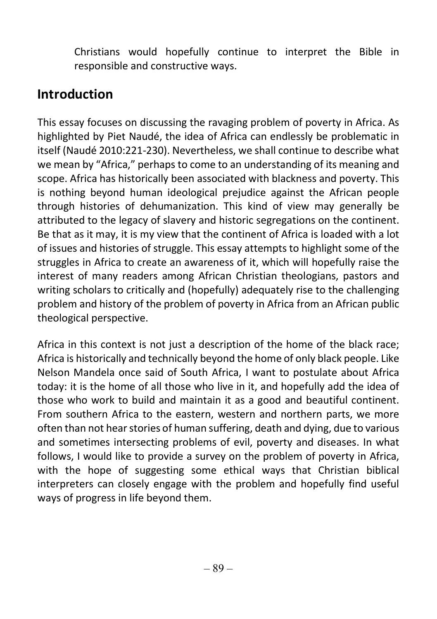Christians would hopefully continue to interpret the Bible in responsible and constructive ways.

### Introduction

This essay focuses on discussing the ravaging problem of poverty in Africa. As highlighted by Piet Naudé, the idea of Africa can endlessly be problematic in itself (Naudé 2010:221-230). Nevertheless, we shall continue to describe what we mean by "Africa," perhaps to come to an understanding of its meaning and scope. Africa has historically been associated with blackness and poverty. This is nothing beyond human ideological prejudice against the African people through histories of dehumanization. This kind of view may generally be attributed to the legacy of slavery and historic segregations on the continent. Be that as it may, it is my view that the continent of Africa is loaded with a lot of issues and histories of struggle. This essay attempts to highlight some of the struggles in Africa to create an awareness of it, which will hopefully raise the interest of many readers among African Christian theologians, pastors and writing scholars to critically and (hopefully) adequately rise to the challenging problem and history of the problem of poverty in Africa from an African public theological perspective.

Africa in this context is not just a description of the home of the black race; Africa is historically and technically beyond the home of only black people. Like Nelson Mandela once said of South Africa, I want to postulate about Africa today: it is the home of all those who live in it, and hopefully add the idea of those who work to build and maintain it as a good and beautiful continent. From southern Africa to the eastern, western and northern parts, we more often than not hear stories of human suffering, death and dying, due to various and sometimes intersecting problems of evil, poverty and diseases. In what follows, I would like to provide a survey on the problem of poverty in Africa, with the hope of suggesting some ethical ways that Christian biblical interpreters can closely engage with the problem and hopefully find useful ways of progress in life beyond them.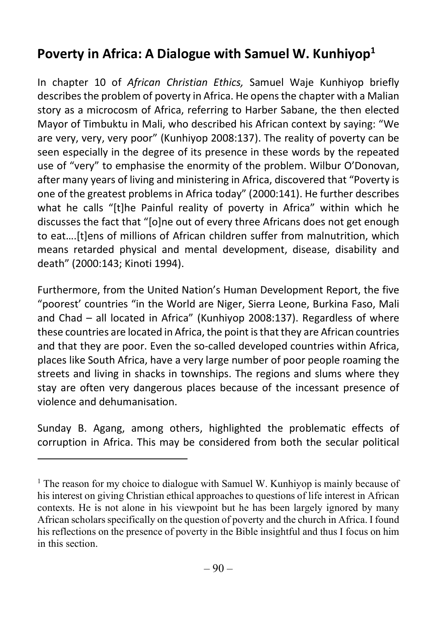# Poverty in Africa: A Dialogue with Samuel W. Kunhiyop<sup>1</sup>

In chapter 10 of African Christian Ethics, Samuel Waje Kunhiyop briefly describes the problem of poverty in Africa. He opens the chapter with a Malian story as a microcosm of Africa, referring to Harber Sabane, the then elected Mayor of Timbuktu in Mali, who described his African context by saying: "We are very, very, very poor" (Kunhiyop 2008:137). The reality of poverty can be seen especially in the degree of its presence in these words by the repeated use of "very" to emphasise the enormity of the problem. Wilbur O'Donovan, after many years of living and ministering in Africa, discovered that "Poverty is one of the greatest problems in Africa today" (2000:141). He further describes what he calls "[t]he Painful reality of poverty in Africa" within which he discusses the fact that "[o]ne out of every three Africans does not get enough to eat….[t]ens of millions of African children suffer from malnutrition, which means retarded physical and mental development, disease, disability and death" (2000:143; Kinoti 1994).

Furthermore, from the United Nation's Human Development Report, the five "poorest' countries "in the World are Niger, Sierra Leone, Burkina Faso, Mali and Chad – all located in Africa" (Kunhiyop 2008:137). Regardless of where these countries are located in Africa, the point is that they are African countries and that they are poor. Even the so-called developed countries within Africa, places like South Africa, have a very large number of poor people roaming the streets and living in shacks in townships. The regions and slums where they stay are often very dangerous places because of the incessant presence of violence and dehumanisation.

Sunday B. Agang, among others, highlighted the problematic effects of corruption in Africa. This may be considered from both the secular political

<sup>&</sup>lt;sup>1</sup> The reason for my choice to dialogue with Samuel W. Kunhiyop is mainly because of his interest on giving Christian ethical approaches to questions of life interest in African contexts. He is not alone in his viewpoint but he has been largely ignored by many African scholars specifically on the question of poverty and the church in Africa. I found his reflections on the presence of poverty in the Bible insightful and thus I focus on him in this section.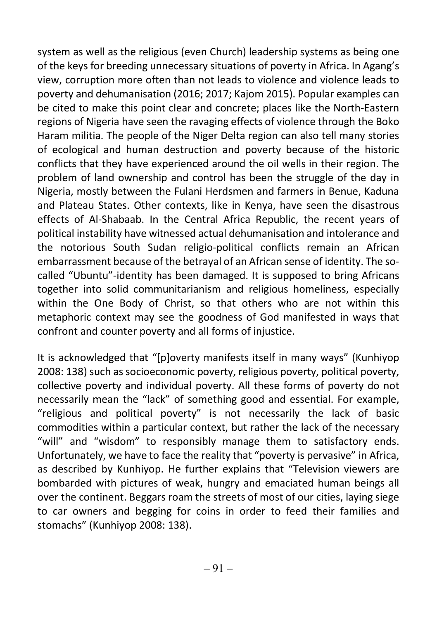system as well as the religious (even Church) leadership systems as being one of the keys for breeding unnecessary situations of poverty in Africa. In Agang's view, corruption more often than not leads to violence and violence leads to poverty and dehumanisation (2016; 2017; Kajom 2015). Popular examples can be cited to make this point clear and concrete; places like the North-Eastern regions of Nigeria have seen the ravaging effects of violence through the Boko Haram militia. The people of the Niger Delta region can also tell many stories of ecological and human destruction and poverty because of the historic conflicts that they have experienced around the oil wells in their region. The problem of land ownership and control has been the struggle of the day in Nigeria, mostly between the Fulani Herdsmen and farmers in Benue, Kaduna and Plateau States. Other contexts, like in Kenya, have seen the disastrous effects of Al-Shabaab. In the Central Africa Republic, the recent years of political instability have witnessed actual dehumanisation and intolerance and the notorious South Sudan religio-political conflicts remain an African embarrassment because of the betrayal of an African sense of identity. The socalled "Ubuntu"-identity has been damaged. It is supposed to bring Africans together into solid communitarianism and religious homeliness, especially within the One Body of Christ, so that others who are not within this metaphoric context may see the goodness of God manifested in ways that confront and counter poverty and all forms of injustice.

It is acknowledged that "[p]overty manifests itself in many ways" (Kunhiyop 2008: 138) such as socioeconomic poverty, religious poverty, political poverty, collective poverty and individual poverty. All these forms of poverty do not necessarily mean the "lack" of something good and essential. For example, "religious and political poverty" is not necessarily the lack of basic commodities within a particular context, but rather the lack of the necessary "will" and "wisdom" to responsibly manage them to satisfactory ends. Unfortunately, we have to face the reality that "poverty is pervasive" in Africa, as described by Kunhiyop. He further explains that "Television viewers are bombarded with pictures of weak, hungry and emaciated human beings all over the continent. Beggars roam the streets of most of our cities, laying siege to car owners and begging for coins in order to feed their families and stomachs" (Kunhiyop 2008: 138).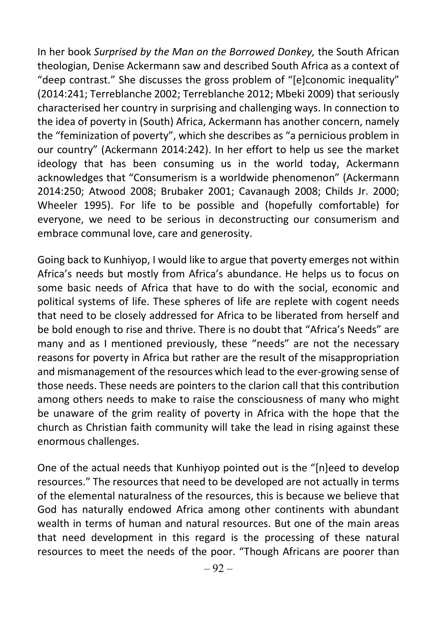In her book Surprised by the Man on the Borrowed Donkey, the South African theologian, Denise Ackermann saw and described South Africa as a context of "deep contrast." She discusses the gross problem of "[e]conomic inequality" (2014:241; Terreblanche 2002; Terreblanche 2012; Mbeki 2009) that seriously characterised her country in surprising and challenging ways. In connection to the idea of poverty in (South) Africa, Ackermann has another concern, namely the "feminization of poverty", which she describes as "a pernicious problem in our country" (Ackermann 2014:242). In her effort to help us see the market ideology that has been consuming us in the world today, Ackermann acknowledges that "Consumerism is a worldwide phenomenon" (Ackermann 2014:250; Atwood 2008; Brubaker 2001; Cavanaugh 2008; Childs Jr. 2000; Wheeler 1995). For life to be possible and (hopefully comfortable) for everyone, we need to be serious in deconstructing our consumerism and embrace communal love, care and generosity.

Going back to Kunhiyop, I would like to argue that poverty emerges not within Africa's needs but mostly from Africa's abundance. He helps us to focus on some basic needs of Africa that have to do with the social, economic and political systems of life. These spheres of life are replete with cogent needs that need to be closely addressed for Africa to be liberated from herself and be bold enough to rise and thrive. There is no doubt that "Africa's Needs" are many and as I mentioned previously, these "needs" are not the necessary reasons for poverty in Africa but rather are the result of the misappropriation and mismanagement of the resources which lead to the ever-growing sense of those needs. These needs are pointers to the clarion call that this contribution among others needs to make to raise the consciousness of many who might be unaware of the grim reality of poverty in Africa with the hope that the church as Christian faith community will take the lead in rising against these enormous challenges.

One of the actual needs that Kunhiyop pointed out is the "[n]eed to develop resources." The resources that need to be developed are not actually in terms of the elemental naturalness of the resources, this is because we believe that God has naturally endowed Africa among other continents with abundant wealth in terms of human and natural resources. But one of the main areas that need development in this regard is the processing of these natural resources to meet the needs of the poor. "Though Africans are poorer than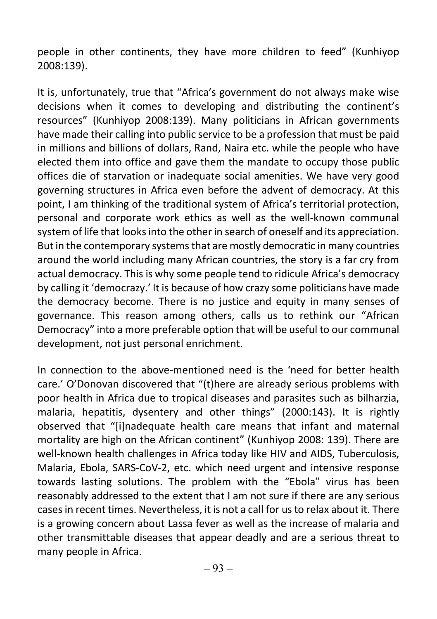people in other continents, they have more children to feed" (Kunhiyop 2008:139).

It is, unfortunately, true that "Africa's government do not always make wise decisions when it comes to developing and distributing the continent's resources" (Kunhiyop 2008:139). Many politicians in African governments have made their calling into public service to be a profession that must be paid in millions and billions of dollars, Rand, Naira etc. while the people who have elected them into office and gave them the mandate to occupy those public offices die of starvation or inadequate social amenities. We have very good governing structures in Africa even before the advent of democracy. At this point, I am thinking of the traditional system of Africa's territorial protection, personal and corporate work ethics as well as the well-known communal system of life that looks into the other in search of oneself and its appreciation. But in the contemporary systems that are mostly democratic in many countries around the world including many African countries, the story is a far cry from actual democracy. This is why some people tend to ridicule Africa's democracy by calling it 'democrazy.' It is because of how crazy some politicians have made the democracy become. There is no justice and equity in many senses of governance. This reason among others, calls us to rethink our "African Democracy" into a more preferable option that will be useful to our communal development, not just personal enrichment.

In connection to the above-mentioned need is the 'need for better health care.' O'Donovan discovered that "(t)here are already serious problems with poor health in Africa due to tropical diseases and parasites such as bilharzia, malaria, hepatitis, dysentery and other things" (2000:143). It is rightly observed that "[i]nadequate health care means that infant and maternal mortality are high on the African continent" (Kunhiyop 2008: 139). There are well-known health challenges in Africa today like HIV and AIDS, Tuberculosis, Malaria, Ebola, SARS-CoV-2, etc. which need urgent and intensive response towards lasting solutions. The problem with the "Ebola" virus has been reasonably addressed to the extent that I am not sure if there are any serious cases in recent times. Nevertheless, it is not a call for us to relax about it. There is a growing concern about Lassa fever as well as the increase of malaria and other transmittable diseases that appear deadly and are a serious threat to many people in Africa.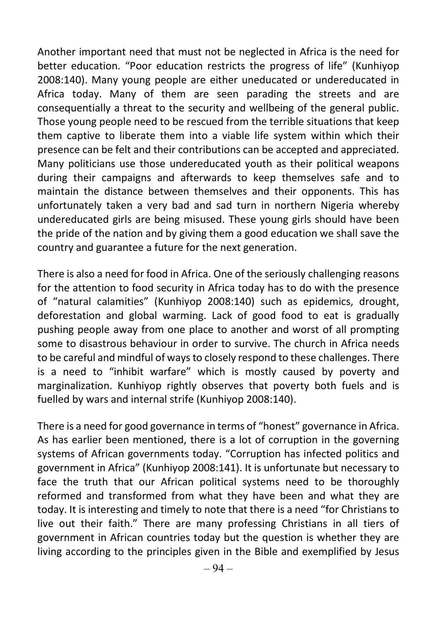Another important need that must not be neglected in Africa is the need for better education. "Poor education restricts the progress of life" (Kunhiyop 2008:140). Many young people are either uneducated or undereducated in Africa today. Many of them are seen parading the streets and are consequentially a threat to the security and wellbeing of the general public. Those young people need to be rescued from the terrible situations that keep them captive to liberate them into a viable life system within which their presence can be felt and their contributions can be accepted and appreciated. Many politicians use those undereducated youth as their political weapons during their campaigns and afterwards to keep themselves safe and to maintain the distance between themselves and their opponents. This has unfortunately taken a very bad and sad turn in northern Nigeria whereby undereducated girls are being misused. These young girls should have been the pride of the nation and by giving them a good education we shall save the country and guarantee a future for the next generation.

There is also a need for food in Africa. One of the seriously challenging reasons for the attention to food security in Africa today has to do with the presence of "natural calamities" (Kunhiyop 2008:140) such as epidemics, drought, deforestation and global warming. Lack of good food to eat is gradually pushing people away from one place to another and worst of all prompting some to disastrous behaviour in order to survive. The church in Africa needs to be careful and mindful of ways to closely respond to these challenges. There is a need to "inhibit warfare" which is mostly caused by poverty and marginalization. Kunhiyop rightly observes that poverty both fuels and is fuelled by wars and internal strife (Kunhiyop 2008:140).

There is a need for good governance in terms of "honest" governance in Africa. As has earlier been mentioned, there is a lot of corruption in the governing systems of African governments today. "Corruption has infected politics and government in Africa" (Kunhiyop 2008:141). It is unfortunate but necessary to face the truth that our African political systems need to be thoroughly reformed and transformed from what they have been and what they are today. It is interesting and timely to note that there is a need "for Christians to live out their faith." There are many professing Christians in all tiers of government in African countries today but the question is whether they are living according to the principles given in the Bible and exemplified by Jesus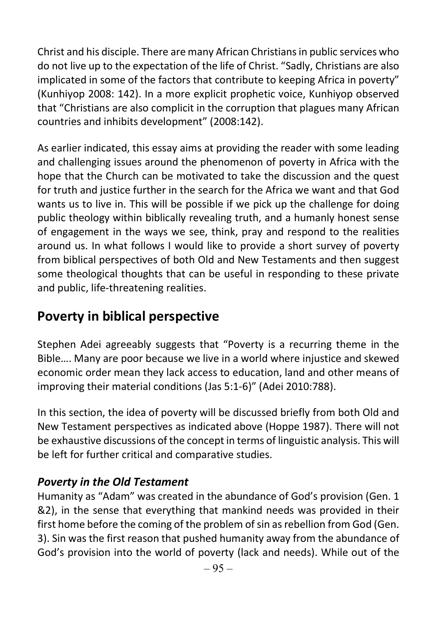Christ and his disciple. There are many African Christians in public services who do not live up to the expectation of the life of Christ. "Sadly, Christians are also implicated in some of the factors that contribute to keeping Africa in poverty" (Kunhiyop 2008: 142). In a more explicit prophetic voice, Kunhiyop observed that "Christians are also complicit in the corruption that plagues many African countries and inhibits development" (2008:142).

As earlier indicated, this essay aims at providing the reader with some leading and challenging issues around the phenomenon of poverty in Africa with the hope that the Church can be motivated to take the discussion and the quest for truth and justice further in the search for the Africa we want and that God wants us to live in. This will be possible if we pick up the challenge for doing public theology within biblically revealing truth, and a humanly honest sense of engagement in the ways we see, think, pray and respond to the realities around us. In what follows I would like to provide a short survey of poverty from biblical perspectives of both Old and New Testaments and then suggest some theological thoughts that can be useful in responding to these private and public, life-threatening realities.

### Poverty in biblical perspective

Stephen Adei agreeably suggests that "Poverty is a recurring theme in the Bible…. Many are poor because we live in a world where injustice and skewed economic order mean they lack access to education, land and other means of improving their material conditions (Jas 5:1-6)" (Adei 2010:788).

In this section, the idea of poverty will be discussed briefly from both Old and New Testament perspectives as indicated above (Hoppe 1987). There will not be exhaustive discussions of the concept in terms of linguistic analysis. This will be left for further critical and comparative studies.

#### Poverty in the Old Testament

Humanity as "Adam" was created in the abundance of God's provision (Gen. 1 &2), in the sense that everything that mankind needs was provided in their first home before the coming of the problem of sin as rebellion from God (Gen. 3). Sin was the first reason that pushed humanity away from the abundance of God's provision into the world of poverty (lack and needs). While out of the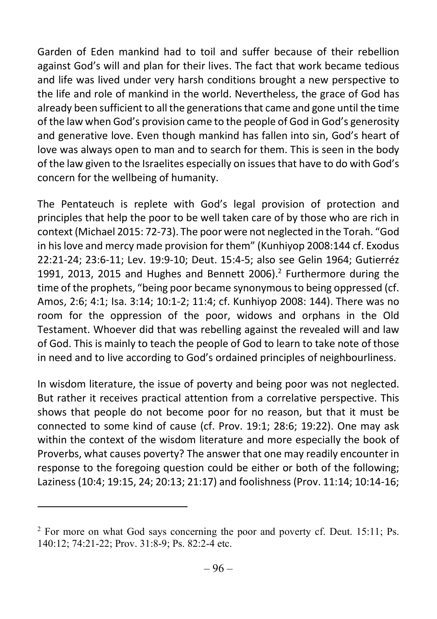Garden of Eden mankind had to toil and suffer because of their rebellion against God's will and plan for their lives. The fact that work became tedious and life was lived under very harsh conditions brought a new perspective to the life and role of mankind in the world. Nevertheless, the grace of God has already been sufficient to all the generations that came and gone until the time of the law when God's provision came to the people of God in God's generosity and generative love. Even though mankind has fallen into sin, God's heart of love was always open to man and to search for them. This is seen in the body of the law given to the Israelites especially on issues that have to do with God's concern for the wellbeing of humanity.

The Pentateuch is replete with God's legal provision of protection and principles that help the poor to be well taken care of by those who are rich in context (Michael 2015: 72-73). The poor were not neglected in the Torah. "God in his love and mercy made provision for them" (Kunhiyop 2008:144 cf. Exodus 22:21-24; 23:6-11; Lev. 19:9-10; Deut. 15:4-5; also see Gelin 1964; Gutierréz 1991, 2013, 2015 and Hughes and Bennett 2006).<sup>2</sup> Furthermore during the time of the prophets, "being poor became synonymous to being oppressed (cf. Amos, 2:6; 4:1; Isa. 3:14; 10:1-2; 11:4; cf. Kunhiyop 2008: 144). There was no room for the oppression of the poor, widows and orphans in the Old Testament. Whoever did that was rebelling against the revealed will and law of God. This is mainly to teach the people of God to learn to take note of those in need and to live according to God's ordained principles of neighbourliness.

In wisdom literature, the issue of poverty and being poor was not neglected. But rather it receives practical attention from a correlative perspective. This shows that people do not become poor for no reason, but that it must be connected to some kind of cause (cf. Prov. 19:1; 28:6; 19:22). One may ask within the context of the wisdom literature and more especially the book of Proverbs, what causes poverty? The answer that one may readily encounter in response to the foregoing question could be either or both of the following; Laziness (10:4; 19:15, 24; 20:13; 21:17) and foolishness (Prov. 11:14; 10:14-16;

<sup>&</sup>lt;sup>2</sup> For more on what God says concerning the poor and poverty cf. Deut. 15:11; Ps. 140:12; 74:21-22; Prov. 31:8-9; Ps. 82:2-4 etc.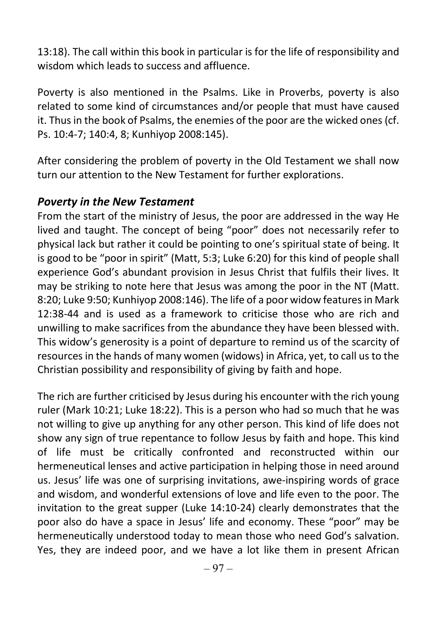13:18). The call within this book in particular is for the life of responsibility and wisdom which leads to success and affluence.

Poverty is also mentioned in the Psalms. Like in Proverbs, poverty is also related to some kind of circumstances and/or people that must have caused it. Thus in the book of Psalms, the enemies of the poor are the wicked ones (cf. Ps. 10:4-7; 140:4, 8; Kunhiyop 2008:145).

After considering the problem of poverty in the Old Testament we shall now turn our attention to the New Testament for further explorations.

#### Poverty in the New Testament

From the start of the ministry of Jesus, the poor are addressed in the way He lived and taught. The concept of being "poor" does not necessarily refer to physical lack but rather it could be pointing to one's spiritual state of being. It is good to be "poor in spirit" (Matt, 5:3; Luke 6:20) for this kind of people shall experience God's abundant provision in Jesus Christ that fulfils their lives. It may be striking to note here that Jesus was among the poor in the NT (Matt. 8:20; Luke 9:50; Kunhiyop 2008:146). The life of a poor widow features in Mark 12:38-44 and is used as a framework to criticise those who are rich and unwilling to make sacrifices from the abundance they have been blessed with. This widow's generosity is a point of departure to remind us of the scarcity of resources in the hands of many women (widows) in Africa, yet, to call us to the Christian possibility and responsibility of giving by faith and hope.

The rich are further criticised by Jesus during his encounter with the rich young ruler (Mark 10:21; Luke 18:22). This is a person who had so much that he was not willing to give up anything for any other person. This kind of life does not show any sign of true repentance to follow Jesus by faith and hope. This kind of life must be critically confronted and reconstructed within our hermeneutical lenses and active participation in helping those in need around us. Jesus' life was one of surprising invitations, awe-inspiring words of grace and wisdom, and wonderful extensions of love and life even to the poor. The invitation to the great supper (Luke 14:10-24) clearly demonstrates that the poor also do have a space in Jesus' life and economy. These "poor" may be hermeneutically understood today to mean those who need God's salvation. Yes, they are indeed poor, and we have a lot like them in present African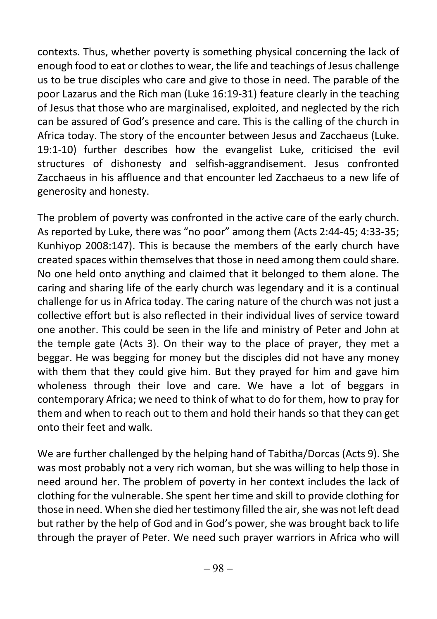contexts. Thus, whether poverty is something physical concerning the lack of enough food to eat or clothes to wear, the life and teachings of Jesus challenge us to be true disciples who care and give to those in need. The parable of the poor Lazarus and the Rich man (Luke 16:19-31) feature clearly in the teaching of Jesus that those who are marginalised, exploited, and neglected by the rich can be assured of God's presence and care. This is the calling of the church in Africa today. The story of the encounter between Jesus and Zacchaeus (Luke. 19:1-10) further describes how the evangelist Luke, criticised the evil structures of dishonesty and selfish-aggrandisement. Jesus confronted Zacchaeus in his affluence and that encounter led Zacchaeus to a new life of generosity and honesty.

The problem of poverty was confronted in the active care of the early church. As reported by Luke, there was "no poor" among them (Acts 2:44-45; 4:33-35; Kunhiyop 2008:147). This is because the members of the early church have created spaces within themselves that those in need among them could share. No one held onto anything and claimed that it belonged to them alone. The caring and sharing life of the early church was legendary and it is a continual challenge for us in Africa today. The caring nature of the church was not just a collective effort but is also reflected in their individual lives of service toward one another. This could be seen in the life and ministry of Peter and John at the temple gate (Acts 3). On their way to the place of prayer, they met a beggar. He was begging for money but the disciples did not have any money with them that they could give him. But they prayed for him and gave him wholeness through their love and care. We have a lot of beggars in contemporary Africa; we need to think of what to do for them, how to pray for them and when to reach out to them and hold their hands so that they can get onto their feet and walk.

We are further challenged by the helping hand of Tabitha/Dorcas (Acts 9). She was most probably not a very rich woman, but she was willing to help those in need around her. The problem of poverty in her context includes the lack of clothing for the vulnerable. She spent her time and skill to provide clothing for those in need. When she died her testimony filled the air, she was not left dead but rather by the help of God and in God's power, she was brought back to life through the prayer of Peter. We need such prayer warriors in Africa who will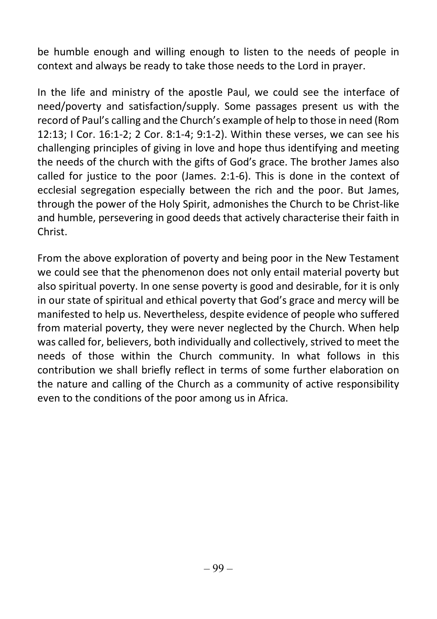be humble enough and willing enough to listen to the needs of people in context and always be ready to take those needs to the Lord in prayer.

In the life and ministry of the apostle Paul, we could see the interface of need/poverty and satisfaction/supply. Some passages present us with the record of Paul's calling and the Church's example of help to those in need (Rom 12:13; I Cor. 16:1-2; 2 Cor. 8:1-4; 9:1-2). Within these verses, we can see his challenging principles of giving in love and hope thus identifying and meeting the needs of the church with the gifts of God's grace. The brother James also called for justice to the poor (James. 2:1-6). This is done in the context of ecclesial segregation especially between the rich and the poor. But James, through the power of the Holy Spirit, admonishes the Church to be Christ-like and humble, persevering in good deeds that actively characterise their faith in Christ.

From the above exploration of poverty and being poor in the New Testament we could see that the phenomenon does not only entail material poverty but also spiritual poverty. In one sense poverty is good and desirable, for it is only in our state of spiritual and ethical poverty that God's grace and mercy will be manifested to help us. Nevertheless, despite evidence of people who suffered from material poverty, they were never neglected by the Church. When help was called for, believers, both individually and collectively, strived to meet the needs of those within the Church community. In what follows in this contribution we shall briefly reflect in terms of some further elaboration on the nature and calling of the Church as a community of active responsibility even to the conditions of the poor among us in Africa.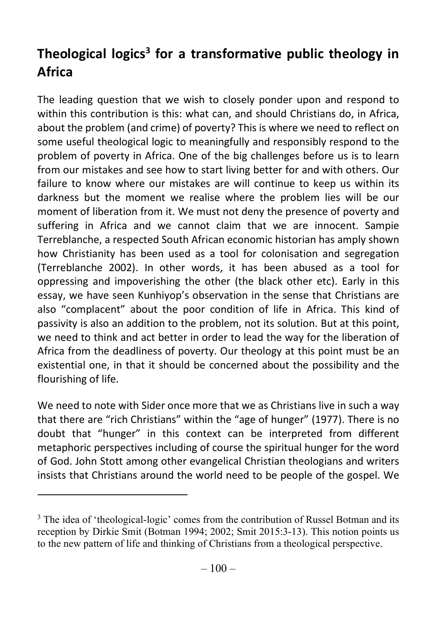## Theological logics<sup>3</sup> for a transformative public theology in Africa

The leading question that we wish to closely ponder upon and respond to within this contribution is this: what can, and should Christians do, in Africa, about the problem (and crime) of poverty? This is where we need to reflect on some useful theological logic to meaningfully and responsibly respond to the problem of poverty in Africa. One of the big challenges before us is to learn from our mistakes and see how to start living better for and with others. Our failure to know where our mistakes are will continue to keep us within its darkness but the moment we realise where the problem lies will be our moment of liberation from it. We must not deny the presence of poverty and suffering in Africa and we cannot claim that we are innocent. Sampie Terreblanche, a respected South African economic historian has amply shown how Christianity has been used as a tool for colonisation and segregation (Terreblanche 2002). In other words, it has been abused as a tool for oppressing and impoverishing the other (the black other etc). Early in this essay, we have seen Kunhiyop's observation in the sense that Christians are also "complacent" about the poor condition of life in Africa. This kind of passivity is also an addition to the problem, not its solution. But at this point, we need to think and act better in order to lead the way for the liberation of Africa from the deadliness of poverty. Our theology at this point must be an existential one, in that it should be concerned about the possibility and the flourishing of life.

We need to note with Sider once more that we as Christians live in such a way that there are "rich Christians" within the "age of hunger" (1977). There is no doubt that "hunger" in this context can be interpreted from different metaphoric perspectives including of course the spiritual hunger for the word of God. John Stott among other evangelical Christian theologians and writers insists that Christians around the world need to be people of the gospel. We

<sup>&</sup>lt;sup>3</sup> The idea of 'theological-logic' comes from the contribution of Russel Botman and its reception by Dirkie Smit (Botman 1994; 2002; Smit 2015:3-13). This notion points us to the new pattern of life and thinking of Christians from a theological perspective.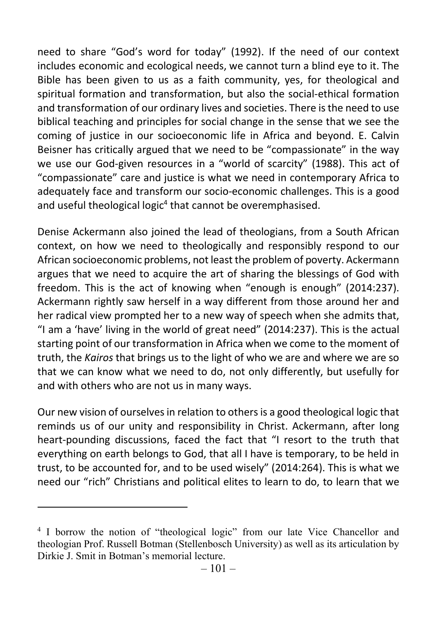need to share "God's word for today" (1992). If the need of our context includes economic and ecological needs, we cannot turn a blind eye to it. The Bible has been given to us as a faith community, yes, for theological and spiritual formation and transformation, but also the social-ethical formation and transformation of our ordinary lives and societies. There is the need to use biblical teaching and principles for social change in the sense that we see the coming of justice in our socioeconomic life in Africa and beyond. E. Calvin Beisner has critically argued that we need to be "compassionate" in the way we use our God-given resources in a "world of scarcity" (1988). This act of "compassionate" care and justice is what we need in contemporary Africa to adequately face and transform our socio-economic challenges. This is a good and useful theological logic<sup>4</sup> that cannot be overemphasised.

Denise Ackermann also joined the lead of theologians, from a South African context, on how we need to theologically and responsibly respond to our African socioeconomic problems, not least the problem of poverty. Ackermann argues that we need to acquire the art of sharing the blessings of God with freedom. This is the act of knowing when "enough is enough" (2014:237). Ackermann rightly saw herself in a way different from those around her and her radical view prompted her to a new way of speech when she admits that, "I am a 'have' living in the world of great need" (2014:237). This is the actual starting point of our transformation in Africa when we come to the moment of truth, the Kairos that brings us to the light of who we are and where we are so that we can know what we need to do, not only differently, but usefully for and with others who are not us in many ways.

Our new vision of ourselves in relation to others is a good theological logic that reminds us of our unity and responsibility in Christ. Ackermann, after long heart-pounding discussions, faced the fact that "I resort to the truth that everything on earth belongs to God, that all I have is temporary, to be held in trust, to be accounted for, and to be used wisely" (2014:264). This is what we need our "rich" Christians and political elites to learn to do, to learn that we

<sup>&</sup>lt;sup>4</sup> I borrow the notion of "theological logic" from our late Vice Chancellor and theologian Prof. Russell Botman (Stellenbosch University) as well as its articulation by Dirkie J. Smit in Botman's memorial lecture.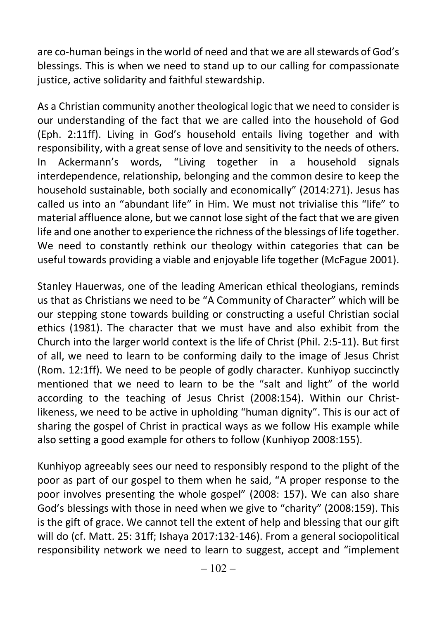are co-human beings in the world of need and that we are all stewards of God's blessings. This is when we need to stand up to our calling for compassionate justice, active solidarity and faithful stewardship.

As a Christian community another theological logic that we need to consider is our understanding of the fact that we are called into the household of God (Eph. 2:11ff). Living in God's household entails living together and with responsibility, with a great sense of love and sensitivity to the needs of others. In Ackermann's words, "Living together in a household signals interdependence, relationship, belonging and the common desire to keep the household sustainable, both socially and economically" (2014:271). Jesus has called us into an "abundant life" in Him. We must not trivialise this "life" to material affluence alone, but we cannot lose sight of the fact that we are given life and one another to experience the richness of the blessings of life together. We need to constantly rethink our theology within categories that can be useful towards providing a viable and enjoyable life together (McFague 2001).

Stanley Hauerwas, one of the leading American ethical theologians, reminds us that as Christians we need to be "A Community of Character" which will be our stepping stone towards building or constructing a useful Christian social ethics (1981). The character that we must have and also exhibit from the Church into the larger world context is the life of Christ (Phil. 2:5-11). But first of all, we need to learn to be conforming daily to the image of Jesus Christ (Rom. 12:1ff). We need to be people of godly character. Kunhiyop succinctly mentioned that we need to learn to be the "salt and light" of the world according to the teaching of Jesus Christ (2008:154). Within our Christlikeness, we need to be active in upholding "human dignity". This is our act of sharing the gospel of Christ in practical ways as we follow His example while also setting a good example for others to follow (Kunhiyop 2008:155).

Kunhiyop agreeably sees our need to responsibly respond to the plight of the poor as part of our gospel to them when he said, "A proper response to the poor involves presenting the whole gospel" (2008: 157). We can also share God's blessings with those in need when we give to "charity" (2008:159). This is the gift of grace. We cannot tell the extent of help and blessing that our gift will do (cf. Matt. 25: 31ff; Ishaya 2017:132-146). From a general sociopolitical responsibility network we need to learn to suggest, accept and "implement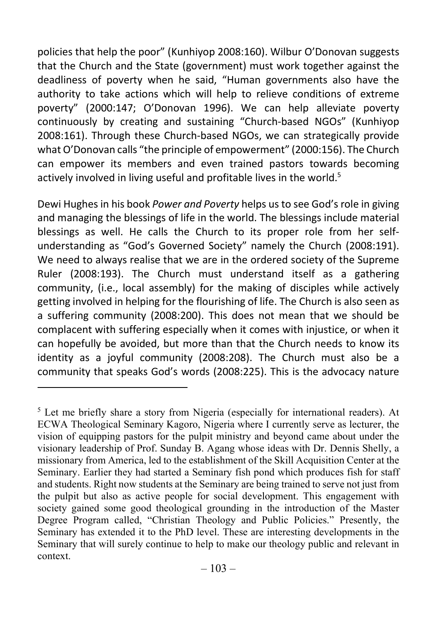policies that help the poor" (Kunhiyop 2008:160). Wilbur O'Donovan suggests that the Church and the State (government) must work together against the deadliness of poverty when he said, "Human governments also have the authority to take actions which will help to relieve conditions of extreme poverty" (2000:147; O'Donovan 1996). We can help alleviate poverty continuously by creating and sustaining "Church-based NGOs" (Kunhiyop 2008:161). Through these Church-based NGOs, we can strategically provide what O'Donovan calls "the principle of empowerment" (2000:156). The Church can empower its members and even trained pastors towards becoming actively involved in living useful and profitable lives in the world.<sup>5</sup>

Dewi Hughes in his book Power and Poverty helps us to see God's role in giving and managing the blessings of life in the world. The blessings include material blessings as well. He calls the Church to its proper role from her selfunderstanding as "God's Governed Society" namely the Church (2008:191). We need to always realise that we are in the ordered society of the Supreme Ruler (2008:193). The Church must understand itself as a gathering community, (i.e., local assembly) for the making of disciples while actively getting involved in helping for the flourishing of life. The Church is also seen as a suffering community (2008:200). This does not mean that we should be complacent with suffering especially when it comes with injustice, or when it can hopefully be avoided, but more than that the Church needs to know its identity as a joyful community (2008:208). The Church must also be a community that speaks God's words (2008:225). This is the advocacy nature

<sup>&</sup>lt;sup>5</sup> Let me briefly share a story from Nigeria (especially for international readers). At ECWA Theological Seminary Kagoro, Nigeria where I currently serve as lecturer, the vision of equipping pastors for the pulpit ministry and beyond came about under the visionary leadership of Prof. Sunday B. Agang whose ideas with Dr. Dennis Shelly, a missionary from America, led to the establishment of the Skill Acquisition Center at the Seminary. Earlier they had started a Seminary fish pond which produces fish for staff and students. Right now students at the Seminary are being trained to serve not just from the pulpit but also as active people for social development. This engagement with society gained some good theological grounding in the introduction of the Master Degree Program called, "Christian Theology and Public Policies." Presently, the Seminary has extended it to the PhD level. These are interesting developments in the Seminary that will surely continue to help to make our theology public and relevant in context.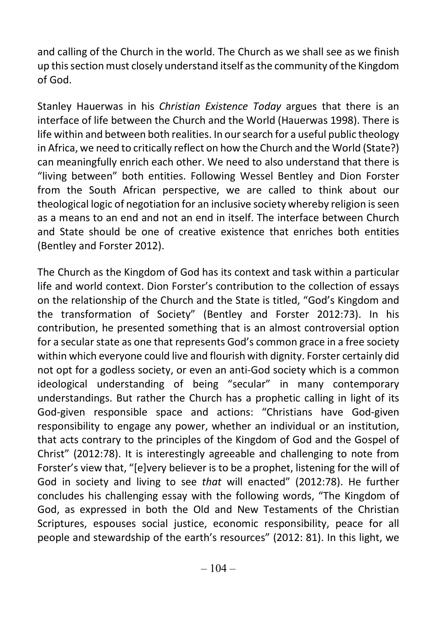and calling of the Church in the world. The Church as we shall see as we finish up this section must closely understand itself as the community of the Kingdom of God.

Stanley Hauerwas in his Christian Existence Today argues that there is an interface of life between the Church and the World (Hauerwas 1998). There is life within and between both realities. In our search for a useful public theology in Africa, we need to critically reflect on how the Church and the World (State?) can meaningfully enrich each other. We need to also understand that there is "living between" both entities. Following Wessel Bentley and Dion Forster from the South African perspective, we are called to think about our theological logic of negotiation for an inclusive society whereby religion is seen as a means to an end and not an end in itself. The interface between Church and State should be one of creative existence that enriches both entities (Bentley and Forster 2012).

The Church as the Kingdom of God has its context and task within a particular life and world context. Dion Forster's contribution to the collection of essays on the relationship of the Church and the State is titled, "God's Kingdom and the transformation of Society" (Bentley and Forster 2012:73). In his contribution, he presented something that is an almost controversial option for a secular state as one that represents God's common grace in a free society within which everyone could live and flourish with dignity. Forster certainly did not opt for a godless society, or even an anti-God society which is a common ideological understanding of being "secular" in many contemporary understandings. But rather the Church has a prophetic calling in light of its God-given responsible space and actions: "Christians have God-given responsibility to engage any power, whether an individual or an institution, that acts contrary to the principles of the Kingdom of God and the Gospel of Christ" (2012:78). It is interestingly agreeable and challenging to note from Forster's view that, "[e]very believer is to be a prophet, listening for the will of God in society and living to see that will enacted" (2012:78). He further concludes his challenging essay with the following words, "The Kingdom of God, as expressed in both the Old and New Testaments of the Christian Scriptures, espouses social justice, economic responsibility, peace for all people and stewardship of the earth's resources" (2012: 81). In this light, we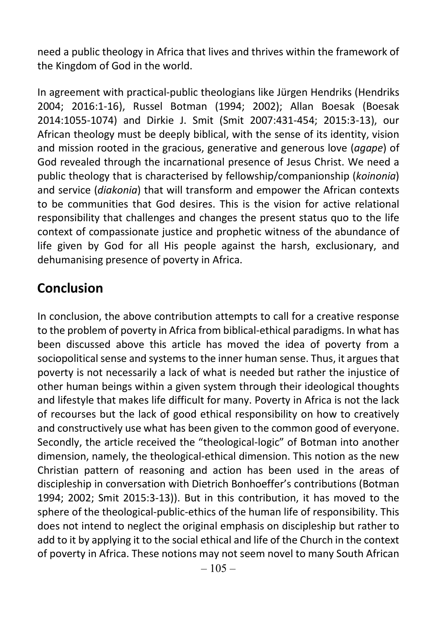need a public theology in Africa that lives and thrives within the framework of the Kingdom of God in the world.

In agreement with practical-public theologians like Jürgen Hendriks (Hendriks 2004; 2016:1-16), Russel Botman (1994; 2002); Allan Boesak (Boesak 2014:1055-1074) and Dirkie J. Smit (Smit 2007:431-454; 2015:3-13), our African theology must be deeply biblical, with the sense of its identity, vision and mission rooted in the gracious, generative and generous love (agape) of God revealed through the incarnational presence of Jesus Christ. We need a public theology that is characterised by fellowship/companionship (koinonia) and service (diakonia) that will transform and empower the African contexts to be communities that God desires. This is the vision for active relational responsibility that challenges and changes the present status quo to the life context of compassionate justice and prophetic witness of the abundance of life given by God for all His people against the harsh, exclusionary, and dehumanising presence of poverty in Africa.

### Conclusion

In conclusion, the above contribution attempts to call for a creative response to the problem of poverty in Africa from biblical-ethical paradigms. In what has been discussed above this article has moved the idea of poverty from a sociopolitical sense and systems to the inner human sense. Thus, it argues that poverty is not necessarily a lack of what is needed but rather the injustice of other human beings within a given system through their ideological thoughts and lifestyle that makes life difficult for many. Poverty in Africa is not the lack of recourses but the lack of good ethical responsibility on how to creatively and constructively use what has been given to the common good of everyone. Secondly, the article received the "theological-logic" of Botman into another dimension, namely, the theological-ethical dimension. This notion as the new Christian pattern of reasoning and action has been used in the areas of discipleship in conversation with Dietrich Bonhoeffer's contributions (Botman 1994; 2002; Smit 2015:3-13)). But in this contribution, it has moved to the sphere of the theological-public-ethics of the human life of responsibility. This does not intend to neglect the original emphasis on discipleship but rather to add to it by applying it to the social ethical and life of the Church in the context of poverty in Africa. These notions may not seem novel to many South African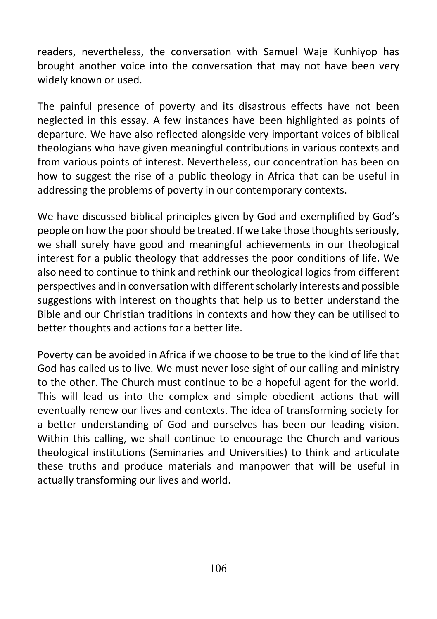readers, nevertheless, the conversation with Samuel Waje Kunhiyop has brought another voice into the conversation that may not have been very widely known or used.

The painful presence of poverty and its disastrous effects have not been neglected in this essay. A few instances have been highlighted as points of departure. We have also reflected alongside very important voices of biblical theologians who have given meaningful contributions in various contexts and from various points of interest. Nevertheless, our concentration has been on how to suggest the rise of a public theology in Africa that can be useful in addressing the problems of poverty in our contemporary contexts.

We have discussed biblical principles given by God and exemplified by God's people on how the poor should be treated. If we take those thoughts seriously, we shall surely have good and meaningful achievements in our theological interest for a public theology that addresses the poor conditions of life. We also need to continue to think and rethink our theological logics from different perspectives and in conversation with different scholarly interests and possible suggestions with interest on thoughts that help us to better understand the Bible and our Christian traditions in contexts and how they can be utilised to better thoughts and actions for a better life.

Poverty can be avoided in Africa if we choose to be true to the kind of life that God has called us to live. We must never lose sight of our calling and ministry to the other. The Church must continue to be a hopeful agent for the world. This will lead us into the complex and simple obedient actions that will eventually renew our lives and contexts. The idea of transforming society for a better understanding of God and ourselves has been our leading vision. Within this calling, we shall continue to encourage the Church and various theological institutions (Seminaries and Universities) to think and articulate these truths and produce materials and manpower that will be useful in actually transforming our lives and world.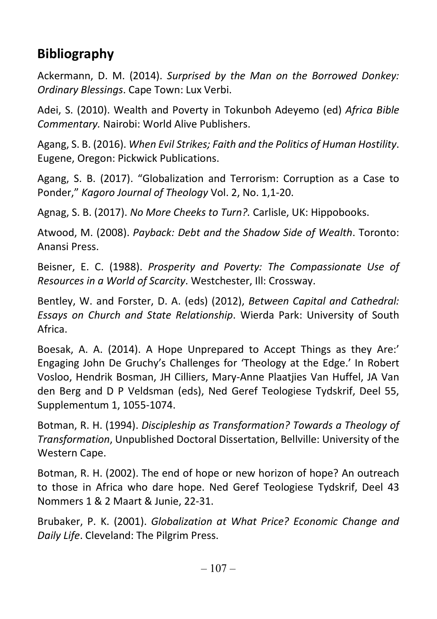### Bibliography

Ackermann, D. M. (2014). Surprised by the Man on the Borrowed Donkey: Ordinary Blessings. Cape Town: Lux Verbi.

Adei, S. (2010). Wealth and Poverty in Tokunboh Adeyemo (ed) Africa Bible Commentary. Nairobi: World Alive Publishers.

Agang, S. B. (2016). When Evil Strikes; Faith and the Politics of Human Hostility. Eugene, Oregon: Pickwick Publications.

Agang, S. B. (2017). "Globalization and Terrorism: Corruption as a Case to Ponder," Kagoro Journal of Theology Vol. 2, No. 1,1-20.

Agnag, S. B. (2017). No More Cheeks to Turn?. Carlisle, UK: Hippobooks.

Atwood, M. (2008). Payback: Debt and the Shadow Side of Wealth. Toronto: Anansi Press.

Beisner, E. C. (1988). Prosperity and Poverty: The Compassionate Use of Resources in a World of Scarcity. Westchester, Ill: Crossway.

Bentley, W. and Forster, D. A. (eds) (2012), Between Capital and Cathedral: Essays on Church and State Relationship. Wierda Park: University of South Africa.

Boesak, A. A. (2014). A Hope Unprepared to Accept Things as they Are:' Engaging John De Gruchy's Challenges for 'Theology at the Edge.' In Robert Vosloo, Hendrik Bosman, JH Cilliers, Mary-Anne Plaatjies Van Huffel, JA Van den Berg and D P Veldsman (eds), Ned Geref Teologiese Tydskrif, Deel 55, Supplementum 1, 1055-1074.

Botman, R. H. (1994). Discipleship as Transformation? Towards a Theology of Transformation, Unpublished Doctoral Dissertation, Bellville: University of the Western Cape.

Botman, R. H. (2002). The end of hope or new horizon of hope? An outreach to those in Africa who dare hope. Ned Geref Teologiese Tydskrif, Deel 43 Nommers 1 & 2 Maart & Junie, 22-31.

Brubaker, P. K. (2001). Globalization at What Price? Economic Change and Daily Life. Cleveland: The Pilgrim Press.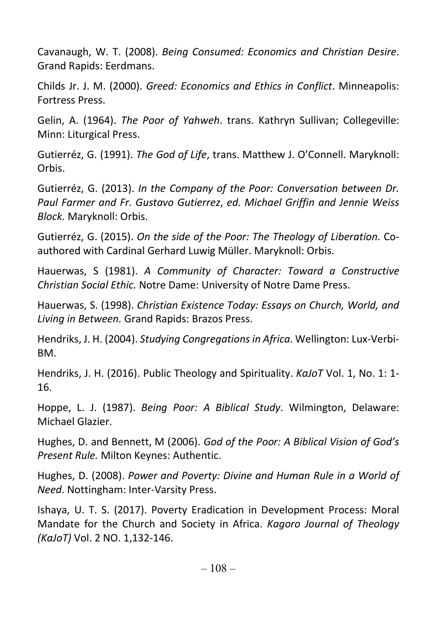Cavanaugh, W. T. (2008). Being Consumed: Economics and Christian Desire. Grand Rapids: Eerdmans.

Childs Jr. J. M. (2000). Greed: Economics and Ethics in Conflict. Minneapolis: Fortress Press.

Gelin, A. (1964). The Poor of Yahweh. trans. Kathryn Sullivan; Collegeville: Minn: Liturgical Press.

Gutierréz, G. (1991). The God of Life, trans. Matthew J. O'Connell. Maryknoll: Orbis.

Gutierréz, G. (2013). In the Company of the Poor: Conversation between Dr. Paul Farmer and Fr. Gustavo Gutierrez, ed. Michael Griffin and Jennie Weiss Block. Maryknoll: Orbis.

Gutierréz, G. (2015). On the side of the Poor: The Theology of Liberation. Coauthored with Cardinal Gerhard Luwig Müller. Maryknoll: Orbis.

Hauerwas, S (1981). A Community of Character: Toward a Constructive Christian Social Ethic. Notre Dame: University of Notre Dame Press.

Hauerwas, S. (1998). Christian Existence Today: Essays on Church, World, and Living in Between. Grand Rapids: Brazos Press.

Hendriks, J. H. (2004). Studying Congregations in Africa. Wellington: Lux-Verbi-BM.

Hendriks, J. H. (2016). Public Theology and Spirituality. KaJoT Vol. 1, No. 1: 1-16.

Hoppe, L. J. (1987). Being Poor: A Biblical Study. Wilmington, Delaware: Michael Glazier.

Hughes, D. and Bennett, M (2006). God of the Poor: A Biblical Vision of God's Present Rule. Milton Keynes: Authentic.

Hughes, D. (2008). Power and Poverty: Divine and Human Rule in a World of Need. Nottingham: Inter-Varsity Press.

Ishaya, U. T. S. (2017). Poverty Eradication in Development Process: Moral Mandate for the Church and Society in Africa. Kagoro Journal of Theology (KaJoT) Vol. 2 NO. 1,132-146.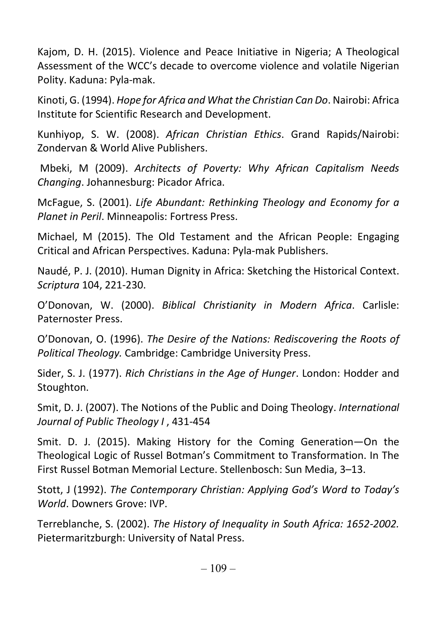Kajom, D. H. (2015). Violence and Peace Initiative in Nigeria; A Theological Assessment of the WCC's decade to overcome violence and volatile Nigerian Polity. Kaduna: Pyla-mak.

Kinoti, G. (1994). Hope for Africa and What the Christian Can Do. Nairobi: Africa Institute for Scientific Research and Development.

Kunhiyop, S. W. (2008). African Christian Ethics. Grand Rapids/Nairobi: Zondervan & World Alive Publishers.

 Mbeki, M (2009). Architects of Poverty: Why African Capitalism Needs Changing. Johannesburg: Picador Africa.

McFague, S. (2001). Life Abundant: Rethinking Theology and Economy for a Planet in Peril. Minneapolis: Fortress Press.

Michael, M (2015). The Old Testament and the African People: Engaging Critical and African Perspectives. Kaduna: Pyla-mak Publishers.

Naudé, P. J. (2010). Human Dignity in Africa: Sketching the Historical Context. Scriptura 104, 221-230.

O'Donovan, W. (2000). Biblical Christianity in Modern Africa. Carlisle: Paternoster Press.

O'Donovan, O. (1996). The Desire of the Nations: Rediscovering the Roots of Political Theology. Cambridge: Cambridge University Press.

Sider, S. J. (1977). Rich Christians in the Age of Hunger. London: Hodder and Stoughton.

Smit, D. J. (2007). The Notions of the Public and Doing Theology. International Journal of Public Theology I , 431-454

Smit. D. J. (2015). Making History for the Coming Generation—On the Theological Logic of Russel Botman's Commitment to Transformation. In The First Russel Botman Memorial Lecture. Stellenbosch: Sun Media, 3–13.

Stott, J (1992). The Contemporary Christian: Applying God's Word to Today's World. Downers Grove: IVP.

Terreblanche, S. (2002). The History of Inequality in South Africa: 1652-2002. Pietermaritzburgh: University of Natal Press.